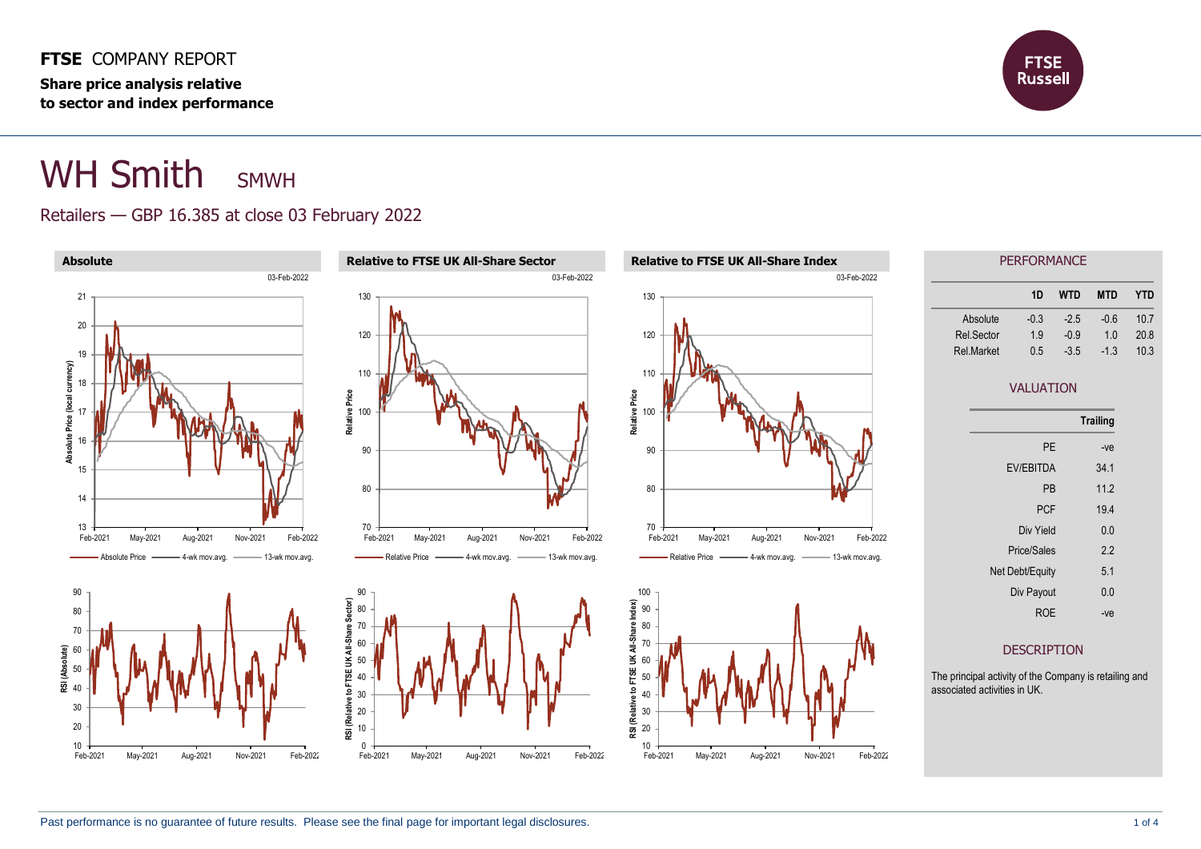**FTSE** COMPANY REPORT **Share price analysis relative to sector and index performance**



# WH Smith SMWH

#### Retailers — GBP 16.385 at close 03 February 2022

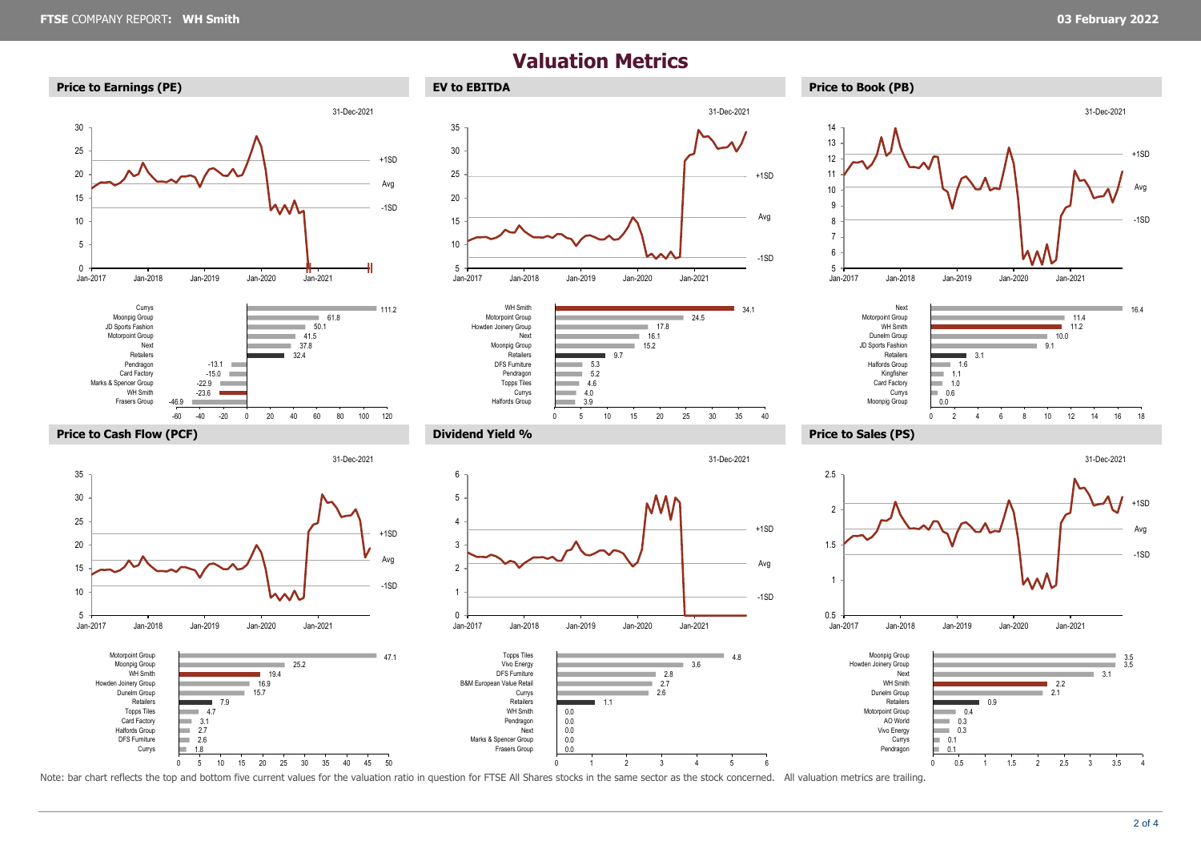31-Dec-2021

## **Valuation Metrics**







31-Dec-2021



















Note: bar chart reflects the top and bottom five current values for the valuation ratio in question for FTSE All Shares stocks in the same sector as the stock concerned. All valuation metrics are trailing.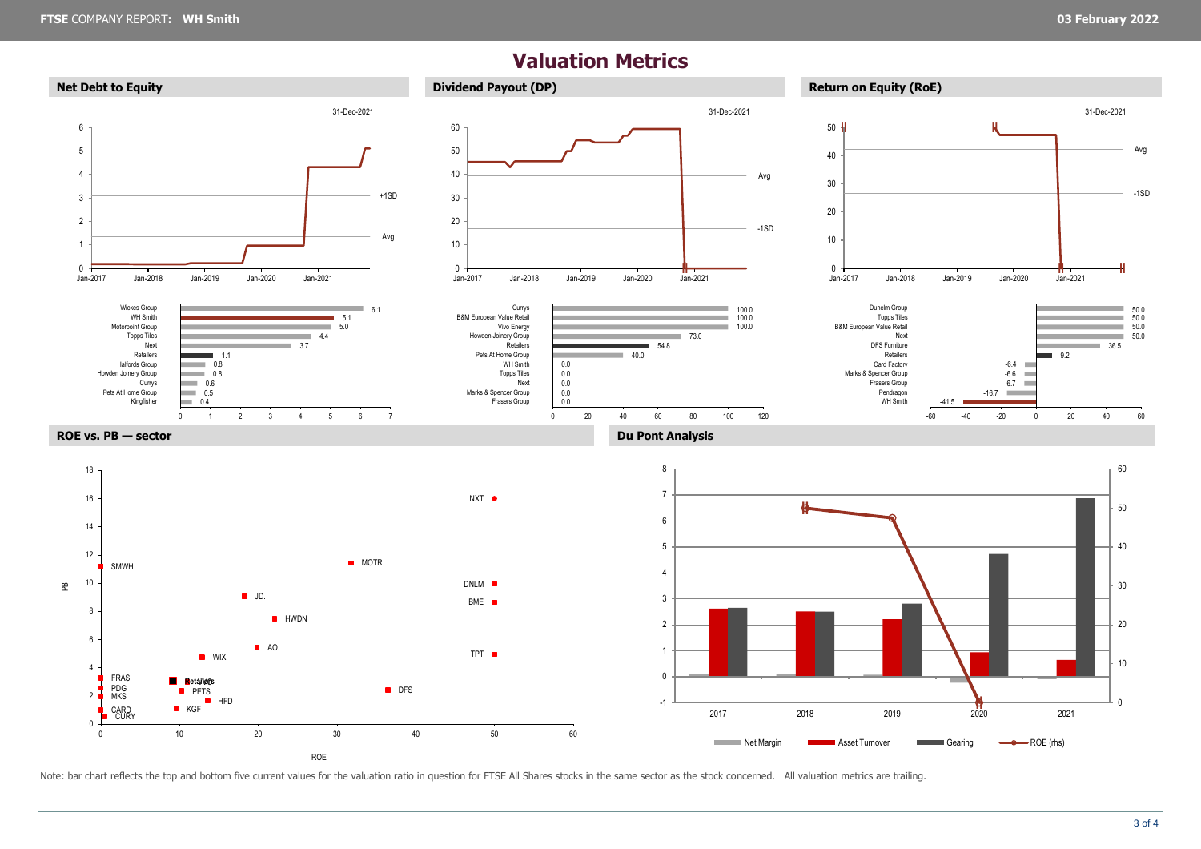### **Valuation Metrics**



Note: bar chart reflects the top and bottom five current values for the valuation ratio in question for FTSE All Shares stocks in the same sector as the stock concerned. All valuation metrics are trailing.